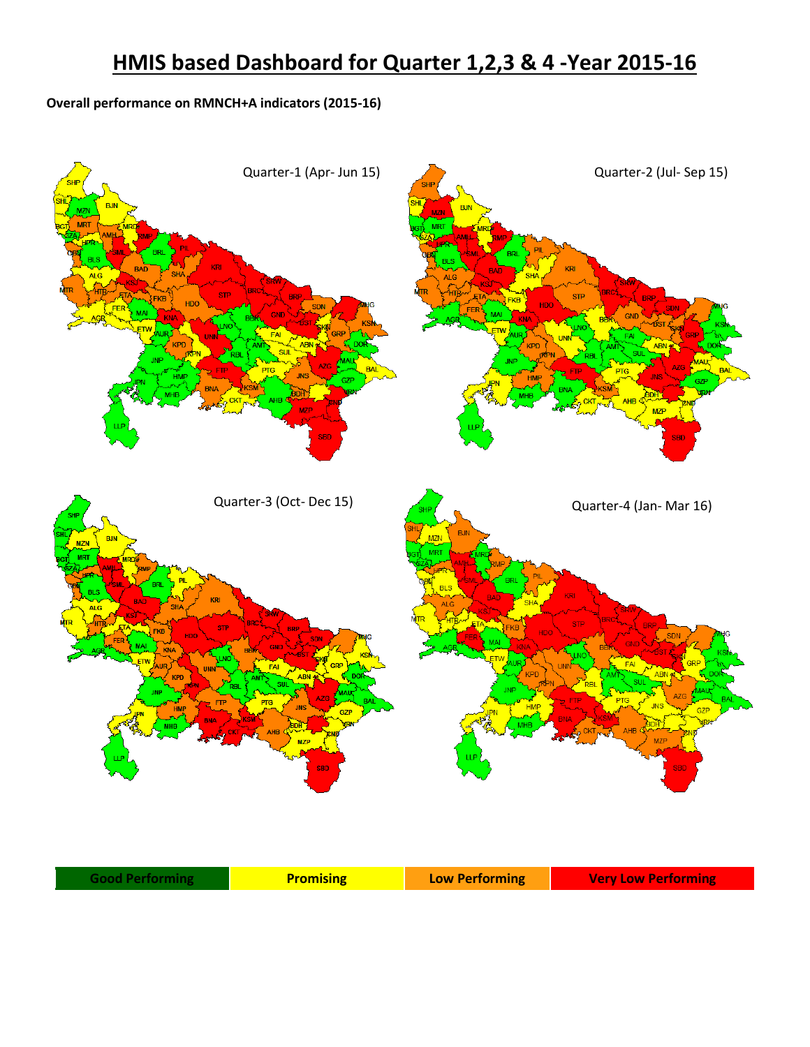## **HMIS based Dashboard for Quarter 1,2,3 & 4 -Year 2015-16**

## **Overall performance on RMNCH+A indicators (2015-16)**

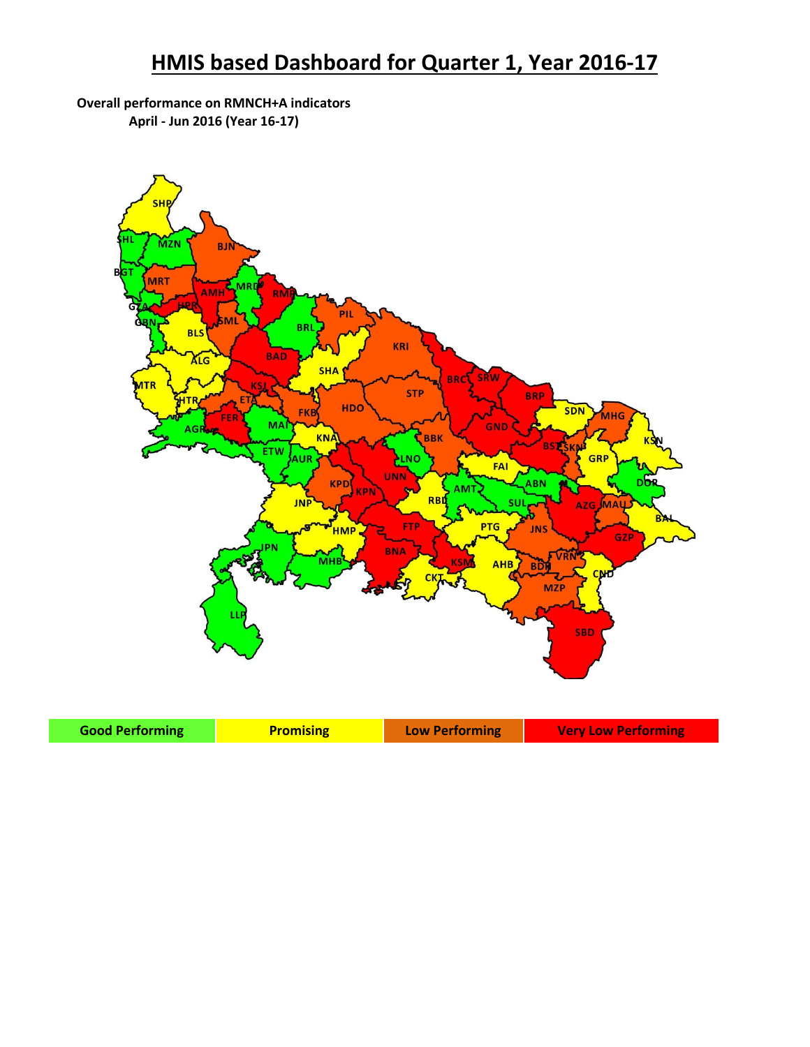## **HMIS based Dashboard for Quarter 1, Year 2016-17**

## **Overall performance on RMNCH+A indicators April - Jun 2016 (Year 16-17)**



| <b>Good Performing</b> | <b>Promising</b> | Low Performing | <b>Very Low Performing</b> |
|------------------------|------------------|----------------|----------------------------|
|------------------------|------------------|----------------|----------------------------|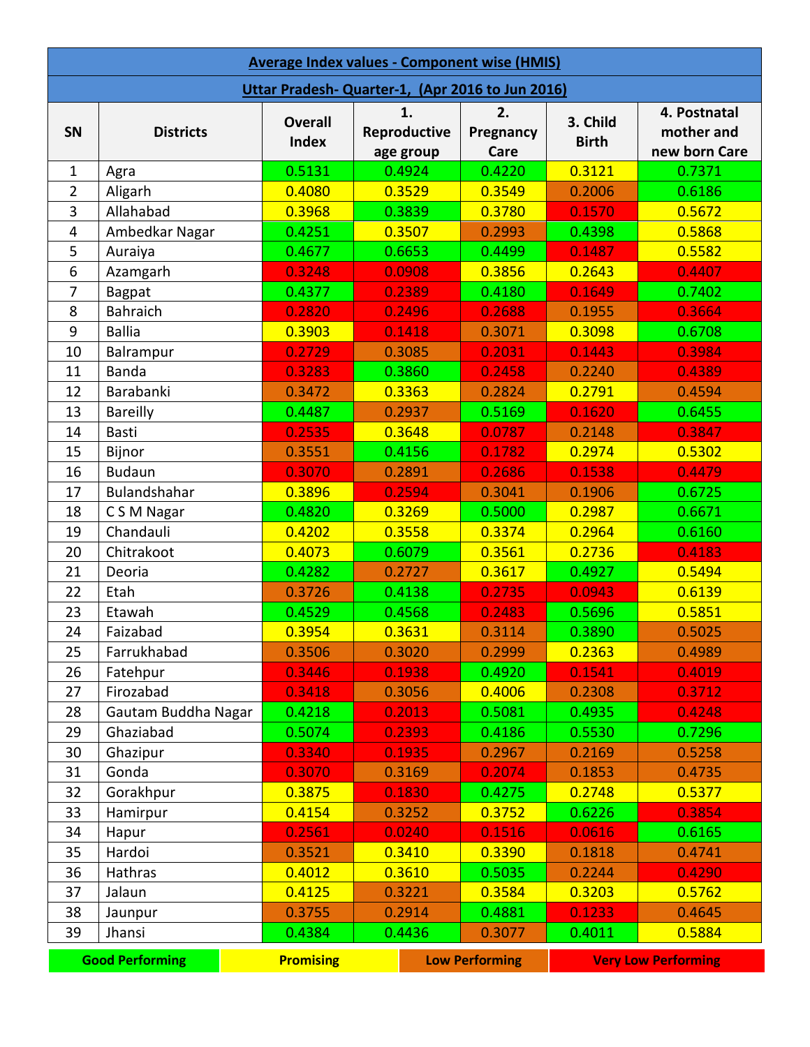| <b>Average Index values - Component wise (HMIS)</b> |                        |                                |                                 |                         |                          |                                             |
|-----------------------------------------------------|------------------------|--------------------------------|---------------------------------|-------------------------|--------------------------|---------------------------------------------|
| Uttar Pradesh-Quarter-1, (Apr 2016 to Jun 2016)     |                        |                                |                                 |                         |                          |                                             |
| SN                                                  | <b>Districts</b>       | <b>Overall</b><br><b>Index</b> | 1.<br>Reproductive<br>age group | 2.<br>Pregnancy<br>Care | 3. Child<br><b>Birth</b> | 4. Postnatal<br>mother and<br>new born Care |
| $\mathbf{1}$                                        | Agra                   | 0.5131                         | 0.4924                          | 0.4220                  | 0.3121                   | 0.7371                                      |
| $\overline{2}$                                      | Aligarh                | 0.4080                         | 0.3529                          | 0.3549                  | 0.2006                   | 0.6186                                      |
| 3                                                   | Allahabad              | 0.3968                         | 0.3839                          | 0.3780                  | 0.1570                   | 0.5672                                      |
| 4                                                   | Ambedkar Nagar         | 0.4251                         | 0.3507                          | 0.2993                  | 0.4398                   | 0.5868                                      |
| 5                                                   | Auraiya                | 0.4677                         | 0.6653                          | 0.4499                  | 0.1487                   | 0.5582                                      |
| 6                                                   | Azamgarh               | 0.3248                         | 0.0908                          | 0.3856                  | 0.2643                   | 0.4407                                      |
| 7                                                   | <b>Bagpat</b>          | 0.4377                         | 0.2389                          | 0.4180                  | 0.1649                   | 0.7402                                      |
| 8                                                   | <b>Bahraich</b>        | 0.2820                         | 0.2496                          | 0.2688                  | 0.1955                   | 0.3664                                      |
| 9                                                   | <b>Ballia</b>          | 0.3903                         | 0.1418                          | 0.3071                  | 0.3098                   | 0.6708                                      |
| 10                                                  | Balrampur              | 0.2729                         | 0.3085                          | 0.2031                  | 0.1443                   | 0.3984                                      |
| 11                                                  | <b>Banda</b>           | 0.3283                         | 0.3860                          | 0.2458                  | 0.2240                   | 0.4389                                      |
| 12                                                  | Barabanki              | 0.3472                         | 0.3363                          | 0.2824                  | 0.2791                   | 0.4594                                      |
| 13                                                  | <b>Bareilly</b>        | 0.4487                         | 0.2937                          | 0.5169                  | 0.1620                   | 0.6455                                      |
| 14                                                  | <b>Basti</b>           | 0.2535                         | 0.3648                          | 0.0787                  | 0.2148                   | 0.3847                                      |
| 15                                                  | Bijnor                 | 0.3551                         | 0.4156                          | 0.1782                  | 0.2974                   | 0.5302                                      |
| 16                                                  | <b>Budaun</b>          | 0.3070                         | 0.2891                          | 0.2686                  | 0.1538                   | 0.4479                                      |
| 17                                                  | Bulandshahar           | 0.3896                         | 0.2594                          | 0.3041                  | 0.1906                   | 0.6725                                      |
| 18                                                  | C S M Nagar            | 0.4820                         | 0.3269                          | 0.5000                  | 0.2987                   | 0.6671                                      |
| 19                                                  | Chandauli              | 0.4202                         | 0.3558                          | 0.3374                  | 0.2964                   | 0.6160                                      |
| 20                                                  | Chitrakoot             | 0.4073                         | 0.6079                          | 0.3561                  | 0.2736                   | 0.4183                                      |
| 21                                                  | Deoria                 | 0.4282                         | 0.2727                          | 0.3617                  | 0.4927                   | 0.5494                                      |
| 22                                                  | Etah                   | 0.3726                         | 0.4138                          | 0.2735                  | 0.0943                   | 0.6139                                      |
| 23                                                  | Etawah                 | 0.4529                         | 0.4568                          | 0.2483                  | 0.5696                   | 0.5851                                      |
| 24                                                  | Faizabad               | 0.3954                         | 0.3631                          | 0.3114                  | 0.3890                   | 0.5025                                      |
| 25                                                  | Farrukhabad            | 0.3506                         | 0.3020                          | 0.2999                  | 0.2363                   | 0.4989                                      |
| 26                                                  | Fatehpur               | 0.3446                         | 0.1938                          | 0.4920                  | 0.1541                   | 0.4019                                      |
| 27                                                  | Firozabad              | 0.3418                         | 0.3056                          | 0.4006                  | 0.2308                   | 0.3712                                      |
| 28                                                  | Gautam Buddha Nagar    | 0.4218                         | 0.2013                          | 0.5081                  | 0.4935                   | 0.4248                                      |
| 29                                                  | Ghaziabad              | 0.5074                         | 0.2393                          | 0.4186                  | 0.5530                   | 0.7296                                      |
| 30                                                  | Ghazipur               | 0.3340                         | 0.1935                          | 0.2967                  | 0.2169                   | 0.5258                                      |
| 31                                                  | Gonda                  | 0.3070                         | 0.3169                          | 0.2074                  | 0.1853                   | 0.4735                                      |
| 32                                                  | Gorakhpur              | 0.3875                         | 0.1830                          | 0.4275                  | 0.2748                   | 0.5377                                      |
| 33                                                  | Hamirpur               | 0.4154                         | 0.3252                          | 0.3752                  | 0.6226                   | 0.3854                                      |
| 34                                                  | Hapur                  | 0.2561                         | 0.0240                          | 0.1516                  | 0.0616                   | 0.6165                                      |
| 35                                                  | Hardoi                 | 0.3521                         | 0.3410                          | 0.3390                  | 0.1818                   | 0.4741                                      |
| 36                                                  | Hathras                | 0.4012                         | 0.3610                          | 0.5035                  | 0.2244                   | 0.4290                                      |
| 37                                                  | Jalaun                 | 0.4125                         | 0.3221                          | 0.3584                  | 0.3203                   | 0.5762                                      |
| 38                                                  | Jaunpur                | 0.3755                         | 0.2914                          | 0.4881                  | 0.1233                   | 0.4645                                      |
| 39                                                  | Jhansi                 | 0.4384                         | 0.4436                          | 0.3077                  | 0.4011                   | 0.5884                                      |
|                                                     | <b>Good Performing</b> | <b>Promising</b>               |                                 | <b>Low Performing</b>   |                          | <b>Very Low Performing</b>                  |